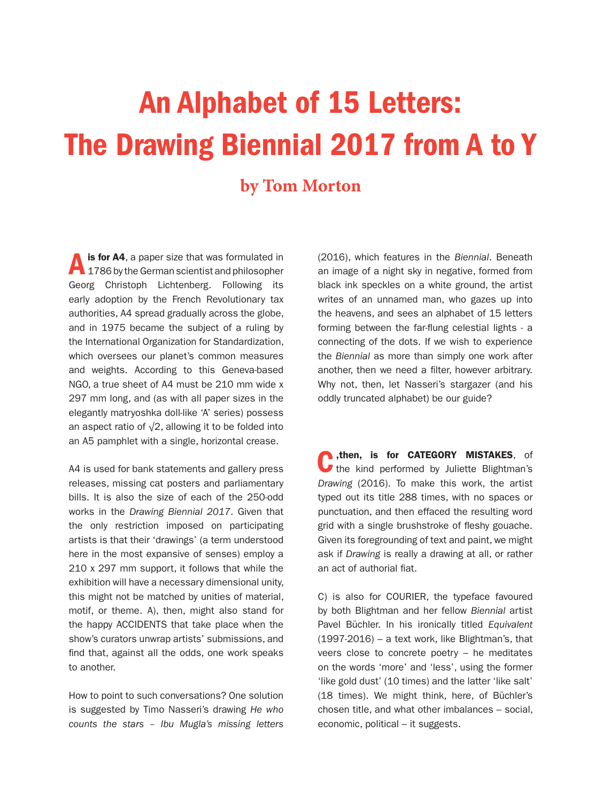## An Alphabet of 15 Letters: The Drawing Biennial 2017 from A to Y

## **by Tom Morton**

Ais for A4, a paper size that was formulated in 1786 by the German scientist and philosopher Georg Christoph Lichtenberg. Following its early adoption by the French Revolutionary tax authorities, A4 spread gradually across the globe, and in 1975 became the subject of a ruling by the International Organization for Standardization, which oversees our planet's common measures and weights. According to this Geneva-based NGO, a true sheet of A4 must be 210 mm wide x 297 mm long, and (as with all paper sizes in the elegantly matryoshka doll-like 'A' series) possess an aspect ratio of  $\sqrt{2}$ , allowing it to be folded into an A5 pamphlet with a single, horizontal crease.

A4 is used for bank statements and gallery press releases, missing cat posters and parliamentary bills. It is also the size of each of the 250-odd works in the *Drawing Biennial 2017*. Given that the only restriction imposed on participating artists is that their 'drawings' (a term understood here in the most expansive of senses) employ a 210 x 297 mm support, it follows that while the exhibition will have a necessary dimensional unity, this might not be matched by unities of material, motif, or theme. A), then, might also stand for the happy ACCIDENTS that take place when the show's curators unwrap artists' submissions, and find that, against all the odds, one work speaks to another.

How to point to such conversations? One solution is suggested by Timo Nasseri's drawing *He who counts the stars – Ibu Mugla's missing letters* (2016), which features in the *Biennial*. Beneath an image of a night sky in negative, formed from black ink speckles on a white ground, the artist writes of an unnamed man, who gazes up into the heavens, and sees an alphabet of 15 letters forming between the far-flung celestial lights - a connecting of the dots. If we wish to experience the *Biennial* as more than simply one work after another, then we need a filter, however arbitrary. Why not, then, let Nasseri's stargazer (and his oddly truncated alphabet) be our guide?

then, is for CATEGORY MISTAKES, of the kind performed by Juliette Blightman's *Drawing* (2016). To make this work, the artist typed out its title 288 times, with no spaces or punctuation, and then effaced the resulting word grid with a single brushstroke of fleshy gouache. Given its foregrounding of text and paint, we might ask if *Drawing* is really a drawing at all, or rather an act of authorial fiat.

C) is also for COURIER, the typeface favoured by both Blightman and her fellow *Biennial* artist Pavel Büchler. In his ironically titled *Equivalent* (1997-2016) – a text work, like Blightman's, that veers close to concrete poetry – he meditates on the words 'more' and 'less', using the former 'like gold dust' (10 times) and the latter 'like salt' (18 times). We might think, here, of Büchler's chosen title, and what other imbalances – social, economic, political – it suggests.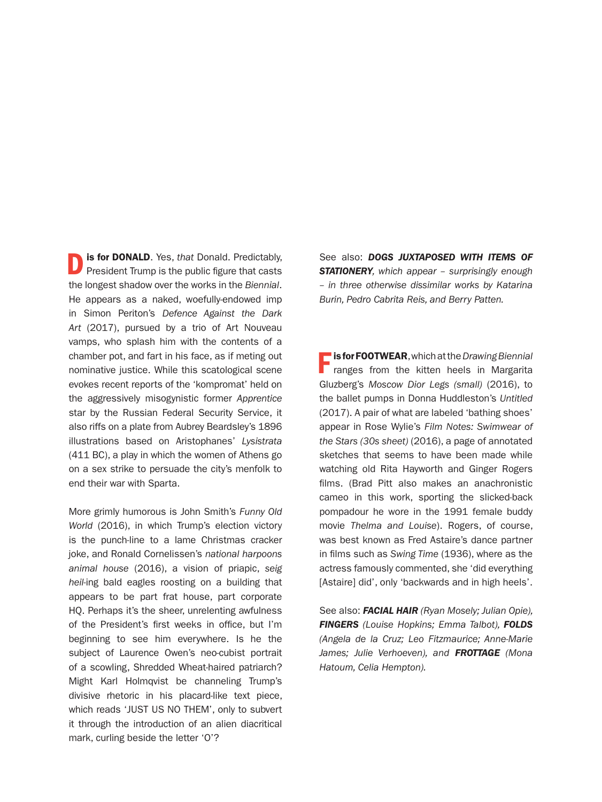**D** is for DONALD. Yes, *that* Donald. Predictably, President Trump is the public figure that casts the longest shadow over the works in the *Biennial*. He appears as a naked, woefully-endowed imp in Simon Periton's *Defence Against the Dark Art* (2017), pursued by a trio of Art Nouveau vamps, who splash him with the contents of a chamber pot, and fart in his face, as if meting out nominative justice. While this scatological scene evokes recent reports of the 'kompromat' held on the aggressively misogynistic former *Apprentice* star by the Russian Federal Security Service, it also riffs on a plate from Aubrey Beardsley's 1896 illustrations based on Aristophanes' *Lysistrata* (411 BC), a play in which the women of Athens go on a sex strike to persuade the city's menfolk to end their war with Sparta.

More grimly humorous is John Smith's *Funny Old World* (2016), in which Trump's election victory is the punch-line to a lame Christmas cracker joke, and Ronald Cornelissen's *national harpoons animal house* (2016), a vision of priapic, *seig heil*-ing bald eagles roosting on a building that appears to be part frat house, part corporate HQ. Perhaps it's the sheer, unrelenting awfulness of the President's first weeks in office, but I'm beginning to see him everywhere. Is he the subject of Laurence Owen's neo-cubist portrait of a scowling, Shredded Wheat-haired patriarch? Might Karl Holmqvist be channeling Trump's divisive rhetoric in his placard-like text piece, which reads 'JUST US NO THEM', only to subvert it through the introduction of an alien diacritical mark, curling beside the letter 'O'?

See also: *DOGS JUXTAPOSED WITH ITEMS OF STATIONERY, which appear – surprisingly enough – in three otherwise dissimilar works by Katarina Burin, Pedro Cabrita Reis, and Berry Patten.*

Fis for FOOTWEAR, which at the *Drawing Biennial*  ranges from the kitten heels in Margarita Gluzberg's *Moscow Dior Legs (small)* (2016), to the ballet pumps in Donna Huddleston's *Untitled* (2017). A pair of what are labeled 'bathing shoes' appear in Rose Wylie's *Film Notes: Swimwear of the Stars (30s sheet)* (2016), a page of annotated sketches that seems to have been made while watching old Rita Hayworth and Ginger Rogers films. (Brad Pitt also makes an anachronistic cameo in this work, sporting the slicked-back pompadour he wore in the 1991 female buddy movie *Thelma and Louise*). Rogers, of course, was best known as Fred Astaire's dance partner in films such as *Swing Time* (1936), where as the actress famously commented, she 'did everything [Astaire] did', only 'backwards and in high heels'.

See also: *FACIAL HAIR (Ryan Mosely; Julian Opie), FINGERS (Louise Hopkins; Emma Talbot), FOLDS (Angela de la Cruz; Leo Fitzmaurice; Anne-Marie James; Julie Verhoeven), and FROTTAGE (Mona Hatoum, Celia Hempton).*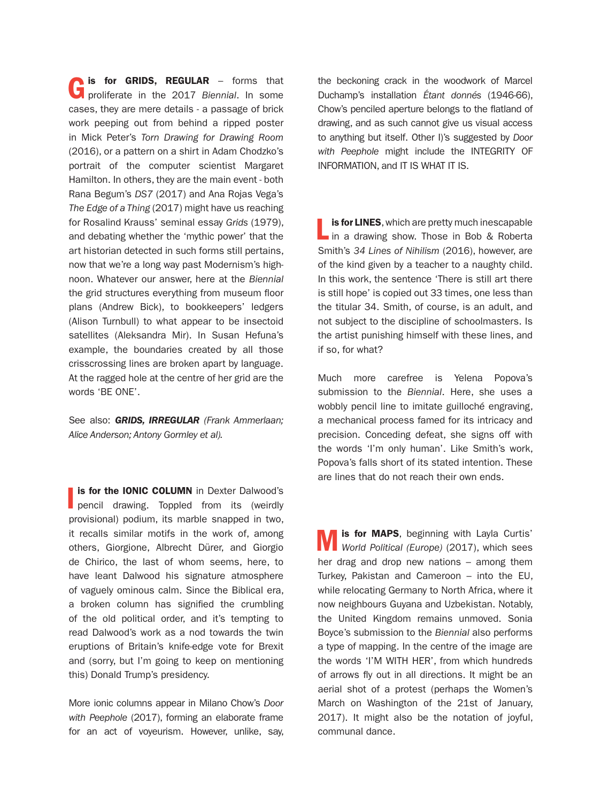Gis for GRIDS, REGULAR – forms that proliferate in the 2017 *Biennial*. In some cases, they are mere details - a passage of brick work peeping out from behind a ripped poster in Mick Peter's *Torn Drawing for Drawing Room* (2016), or a pattern on a shirt in Adam Chodzko's portrait of the computer scientist Margaret Hamilton. In others, they are the main event - both Rana Begum's *DS7* (2017) and Ana Rojas Vega's *The Edge of a Thing* (2017) might have us reaching for Rosalind Krauss' seminal essay *Grids* (1979), and debating whether the 'mythic power' that the art historian detected in such forms still pertains, now that we're a long way past Modernism's highnoon. Whatever our answer, here at the *Biennial* the grid structures everything from museum floor plans (Andrew Bick), to bookkeepers' ledgers (Alison Turnbull) to what appear to be insectoid satellites (Aleksandra Mir). In Susan Hefuna's example, the boundaries created by all those crisscrossing lines are broken apart by language. At the ragged hole at the centre of her grid are the words 'BE ONE'.

See also: *GRIDS, IRREGULAR (Frank Ammerlaan; Alice Anderson; Antony Gormley et al).* 

**Is for the IONIC COLUMN** in Dexter Dalwood's pencil drawing. Toppled from its (weirdly is for the IONIC COLUMN in Dexter Dalwood's provisional) podium, its marble snapped in two, it recalls similar motifs in the work of, among others, Giorgione, Albrecht Dürer, and Giorgio de Chirico, the last of whom seems, here, to have leant Dalwood his signature atmosphere of vaguely ominous calm. Since the Biblical era, a broken column has signified the crumbling of the old political order, and it's tempting to read Dalwood's work as a nod towards the twin eruptions of Britain's knife-edge vote for Brexit and (sorry, but I'm going to keep on mentioning this) Donald Trump's presidency.

More ionic columns appear in Milano Chow's *Door with Peephole* (2017), forming an elaborate frame for an act of voyeurism. However, unlike, say, the beckoning crack in the woodwork of Marcel Duchamp's installation *Étant donnés* (1946-66), Chow's penciled aperture belongs to the flatland of drawing, and as such cannot give us visual access to anything but itself. Other I)'s suggested by *Door with Peephole* might include the INTEGRITY OF INFORMATION, and IT IS WHAT IT IS.

is for LINES, which are pretty much inescapable  $\blacksquare$  in a drawing show. Those in Bob & Roberta Smith's *34 Lines of Nihilism* (2016), however, are of the kind given by a teacher to a naughty child. In this work, the sentence 'There is still art there is still hope' is copied out 33 times, one less than the titular 34. Smith, of course, is an adult, and not subject to the discipline of schoolmasters. Is the artist punishing himself with these lines, and if so, for what?

Much more carefree is Yelena Popova's submission to the *Biennial*. Here, she uses a wobbly pencil line to imitate guilloché engraving, a mechanical process famed for its intricacy and precision. Conceding defeat, she signs off with the words 'I'm only human'. Like Smith's work, Popova's falls short of its stated intention. These are lines that do not reach their own ends.

Mis for MAPS, beginning with Layla Curtis' *World Political (Europe)* (2017), which sees her drag and drop new nations – among them Turkey, Pakistan and Cameroon – into the EU, while relocating Germany to North Africa, where it now neighbours Guyana and Uzbekistan. Notably, the United Kingdom remains unmoved. Sonia Boyce's submission to the *Biennial* also performs a type of mapping. In the centre of the image are the words 'I'M WITH HER', from which hundreds of arrows fly out in all directions. It might be an aerial shot of a protest (perhaps the Women's March on Washington of the 21st of January, 2017). It might also be the notation of joyful, communal dance.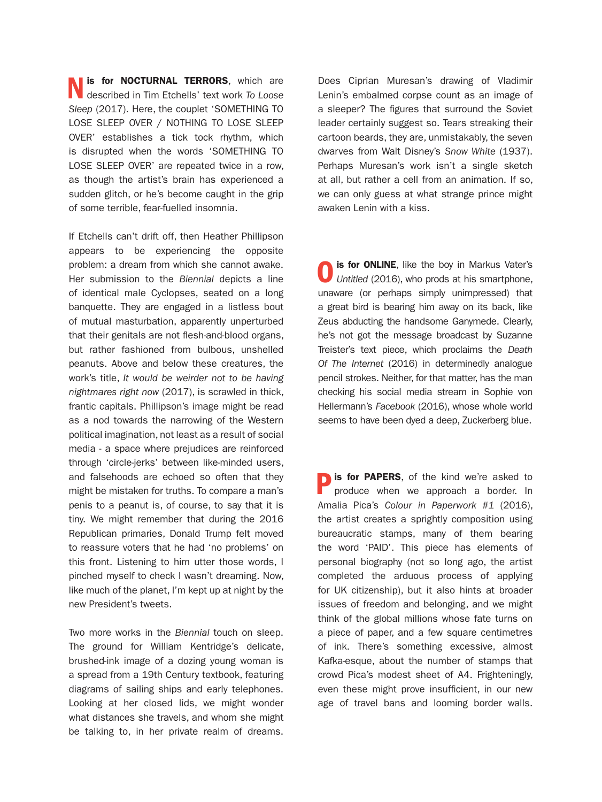Nis for NOCTURNAL TERRORS, which are described in Tim Etchells' text work *To Loose Sleep* (2017). Here, the couplet 'SOMETHING TO LOSE SLEEP OVER / NOTHING TO LOSE SLEEP OVER' establishes a tick tock rhythm, which is disrupted when the words 'SOMETHING TO LOSE SLEEP OVER' are repeated twice in a row, as though the artist's brain has experienced a sudden glitch, or he's become caught in the grip of some terrible, fear-fuelled insomnia.

If Etchells can't drift off, then Heather Phillipson appears to be experiencing the opposite problem: a dream from which she cannot awake. Her submission to the *Biennial* depicts a line of identical male Cyclopses, seated on a long banquette. They are engaged in a listless bout of mutual masturbation, apparently unperturbed that their genitals are not flesh-and-blood organs, but rather fashioned from bulbous, unshelled peanuts. Above and below these creatures, the work's title, *It would be weirder not to be having nightmares right now* (2017), is scrawled in thick, frantic capitals. Phillipson's image might be read as a nod towards the narrowing of the Western political imagination, not least as a result of social media - a space where prejudices are reinforced through 'circle-jerks' between like-minded users, and falsehoods are echoed so often that they might be mistaken for truths. To compare a man's penis to a peanut is, of course, to say that it is tiny. We might remember that during the 2016 Republican primaries, Donald Trump felt moved to reassure voters that he had 'no problems' on this front. Listening to him utter those words, I pinched myself to check I wasn't dreaming. Now, like much of the planet, I'm kept up at night by the new President's tweets.

Two more works in the *Biennial* touch on sleep. The ground for William Kentridge's delicate, brushed-ink image of a dozing young woman is a spread from a 19th Century textbook, featuring diagrams of sailing ships and early telephones. Looking at her closed lids, we might wonder what distances she travels, and whom she might be talking to, in her private realm of dreams.

Does Ciprian Muresan's drawing of Vladimir Lenin's embalmed corpse count as an image of a sleeper? The figures that surround the Soviet leader certainly suggest so. Tears streaking their cartoon beards, they are, unmistakably, the seven dwarves from Walt Disney's *Snow White* (1937). Perhaps Muresan's work isn't a single sketch at all, but rather a cell from an animation. If so, we can only guess at what strange prince might awaken Lenin with a kiss.

**O** is for ONLINE, like the boy in Markus Vater's Untitled (2016), who prods at his smartphone, unaware (or perhaps simply unimpressed) that a great bird is bearing him away on its back, like Zeus abducting the handsome Ganymede. Clearly, he's not got the message broadcast by Suzanne Treister's text piece, which proclaims the *Death Of The Internet* (2016) in determinedly analogue pencil strokes. Neither, for that matter, has the man checking his social media stream in Sophie von Hellermann's *Facebook* (2016), whose whole world seems to have been dyed a deep, Zuckerberg blue.

**Pis for PAPERS**, of the kind we're asked to produce when we approach a border. In Amalia Pica's *Colour in Paperwork #1* (2016), the artist creates a sprightly composition using bureaucratic stamps, many of them bearing the word 'PAID'. This piece has elements of personal biography (not so long ago, the artist completed the arduous process of applying for UK citizenship), but it also hints at broader issues of freedom and belonging, and we might think of the global millions whose fate turns on a piece of paper, and a few square centimetres of ink. There's something excessive, almost Kafka-esque, about the number of stamps that crowd Pica's modest sheet of A4. Frighteningly, even these might prove insufficient, in our new age of travel bans and looming border walls.